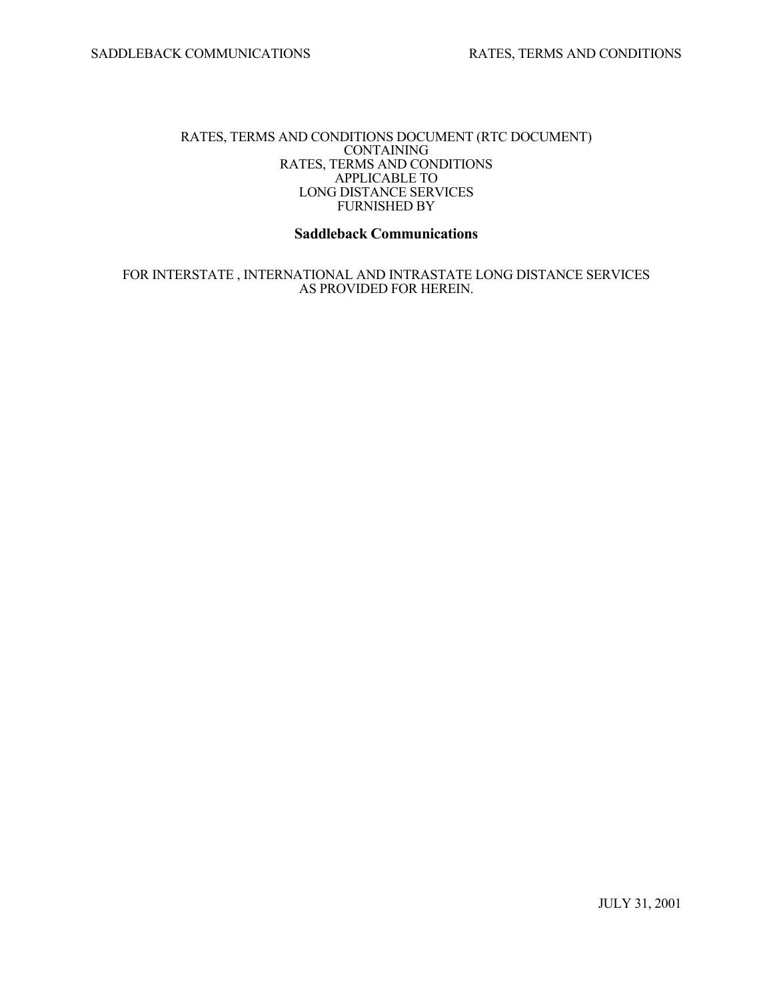#### RATES, TERMS AND CONDITIONS DOCUMENT (RTC DOCUMENT) CONTAINING RATES, TERMS AND CONDITIONS APPLICABLE TO LONG DISTANCE SERVICES FURNISHED BY

# **Saddleback Communications**

 FOR INTERSTATE , INTERNATIONAL AND INTRASTATE LONG DISTANCE SERVICES AS PROVIDED FOR HEREIN.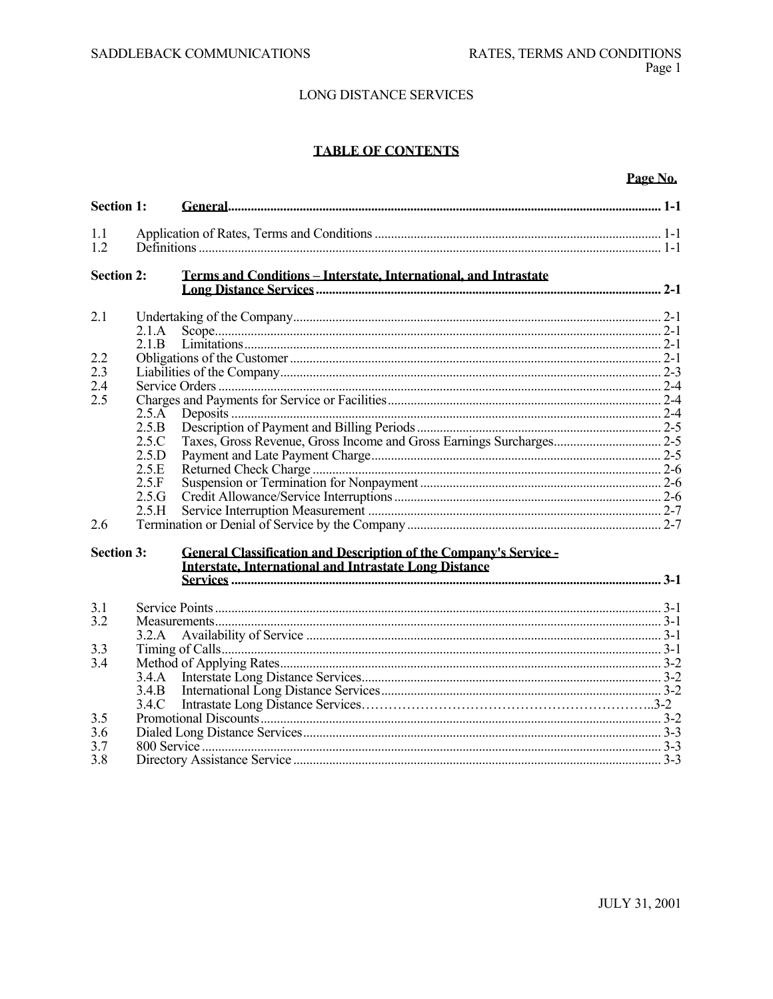# **TABLE OF CONTENTS**

# Page No.

| <b>Section 1:</b>        |                |                                                                                                                                    |  |  |  |
|--------------------------|----------------|------------------------------------------------------------------------------------------------------------------------------------|--|--|--|
| 1.1<br>1.2               |                |                                                                                                                                    |  |  |  |
| <b>Section 2:</b>        |                | Terms and Conditions - Interstate, International, and Intrastate                                                                   |  |  |  |
| 2.1                      |                |                                                                                                                                    |  |  |  |
|                          | 2.1.A          |                                                                                                                                    |  |  |  |
|                          | 2.1.B          |                                                                                                                                    |  |  |  |
| 2.2<br>2.3<br>2.4<br>2.5 |                |                                                                                                                                    |  |  |  |
|                          |                |                                                                                                                                    |  |  |  |
|                          |                |                                                                                                                                    |  |  |  |
|                          | 2.5.A          |                                                                                                                                    |  |  |  |
|                          | 2.5.B<br>2.5.C |                                                                                                                                    |  |  |  |
|                          |                |                                                                                                                                    |  |  |  |
|                          | 2.5.D          |                                                                                                                                    |  |  |  |
|                          | 2.5.E          |                                                                                                                                    |  |  |  |
|                          | 2.5.F          |                                                                                                                                    |  |  |  |
|                          | 2.5.G          |                                                                                                                                    |  |  |  |
|                          | 2.5.H          |                                                                                                                                    |  |  |  |
| 2.6                      |                |                                                                                                                                    |  |  |  |
| <b>Section 3:</b>        |                | <b>General Classification and Description of the Company's Service -</b><br>Interstate. International and Intrastate Long Distance |  |  |  |
| 3.1<br>3.2               |                |                                                                                                                                    |  |  |  |
|                          |                |                                                                                                                                    |  |  |  |
|                          | 3.2.A          |                                                                                                                                    |  |  |  |
| 3.3<br>3.4               |                |                                                                                                                                    |  |  |  |
|                          | 3.4.A          |                                                                                                                                    |  |  |  |
|                          | 3.4.B          |                                                                                                                                    |  |  |  |
|                          | 3.4.C          |                                                                                                                                    |  |  |  |
| 3.5<br>3.6<br>3.7        |                |                                                                                                                                    |  |  |  |
|                          |                |                                                                                                                                    |  |  |  |
|                          |                |                                                                                                                                    |  |  |  |
| 3.8                      |                |                                                                                                                                    |  |  |  |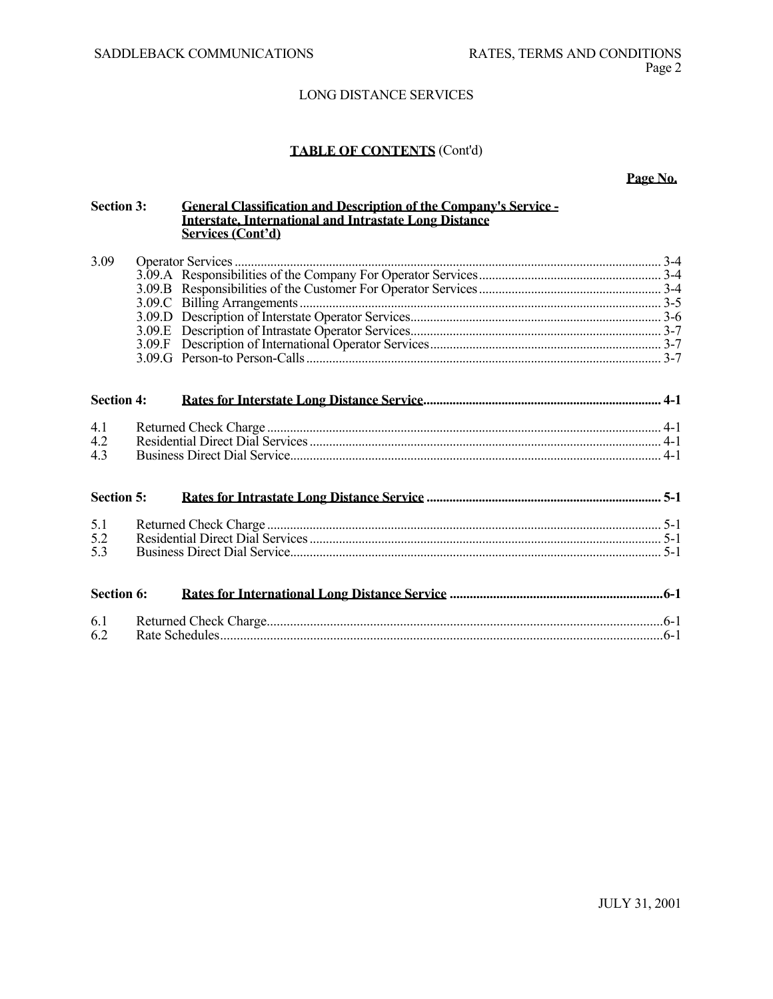# **TABLE OF CONTENTS** (Cont'd)

**Page No.**

| <b>Section 3:</b> |  | <b>General Classification and Description of the Company's Service -</b><br><b>Interstate, International and Intrastate Long Distance</b><br>Services (Cont'd) |  |
|-------------------|--|----------------------------------------------------------------------------------------------------------------------------------------------------------------|--|
| 3.09              |  |                                                                                                                                                                |  |
|                   |  |                                                                                                                                                                |  |
|                   |  |                                                                                                                                                                |  |
|                   |  |                                                                                                                                                                |  |
|                   |  |                                                                                                                                                                |  |
|                   |  |                                                                                                                                                                |  |
|                   |  |                                                                                                                                                                |  |
|                   |  |                                                                                                                                                                |  |
| <b>Section 4:</b> |  |                                                                                                                                                                |  |
| 4.1               |  |                                                                                                                                                                |  |
| 4.2               |  |                                                                                                                                                                |  |
| 4.3               |  |                                                                                                                                                                |  |
| <b>Section 5:</b> |  |                                                                                                                                                                |  |
| 5.1               |  |                                                                                                                                                                |  |
| 5.2               |  |                                                                                                                                                                |  |
| 5.3               |  |                                                                                                                                                                |  |
| <b>Section 6:</b> |  |                                                                                                                                                                |  |
| 6.1               |  |                                                                                                                                                                |  |
| 6.2               |  |                                                                                                                                                                |  |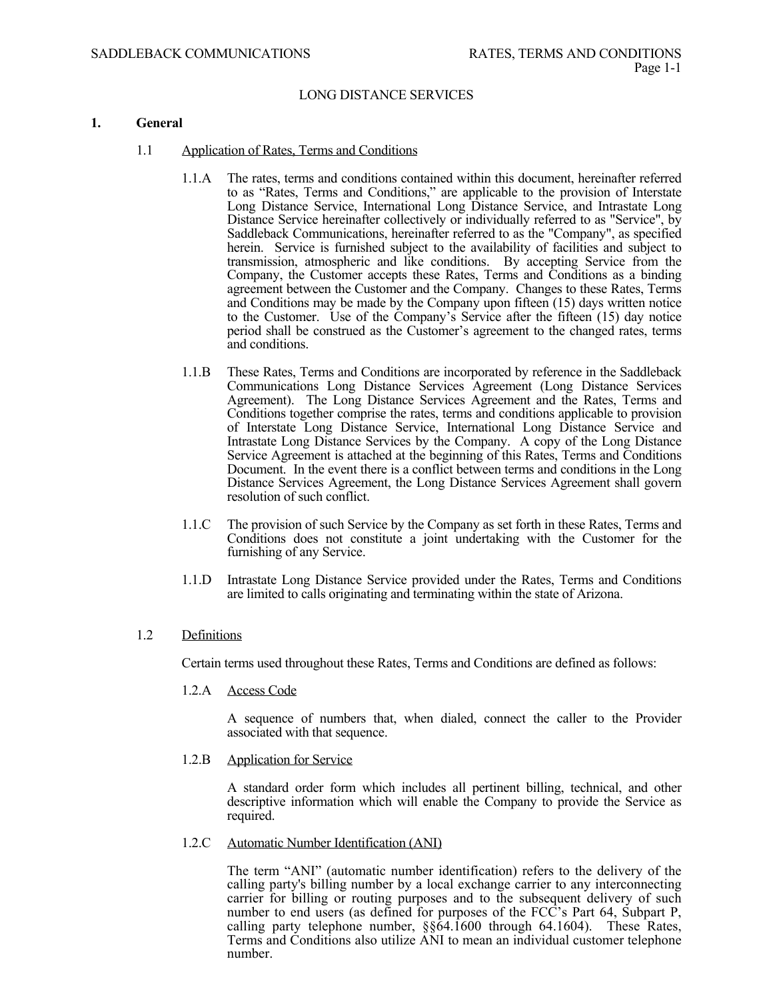## **1. General**

- 1.1 Application of Rates, Terms and Conditions
	- 1.1.A The rates, terms and conditions contained within this document, hereinafter referred to as "Rates, Terms and Conditions," are applicable to the provision of Interstate Long Distance Service, International Long Distance Service, and Intrastate Long Distance Service hereinafter collectively or individually referred to as "Service", by Saddleback Communications, hereinafter referred to as the "Company", as specified herein. Service is furnished subject to the availability of facilities and subject to transmission, atmospheric and like conditions. By accepting Service from the Company, the Customer accepts these Rates, Terms and Conditions as a binding agreement between the Customer and the Company. Changes to these Rates, Terms and Conditions may be made by the Company upon fifteen (15) days written notice to the Customer. Use of the Company's Service after the fifteen (15) day notice period shall be construed as the Customer's agreement to the changed rates, terms and conditions.
	- 1.1.B These Rates, Terms and Conditions are incorporated by reference in the Saddleback Communications Long Distance Services Agreement (Long Distance Services Agreement). The Long Distance Services Agreement and the Rates, Terms and Conditions together comprise the rates, terms and conditions applicable to provision of Interstate Long Distance Service, International Long Distance Service and Intrastate Long Distance Services by the Company. A copy of the Long Distance Service Agreement is attached at the beginning of this Rates, Terms and Conditions Document. In the event there is a conflict between terms and conditions in the Long Distance Services Agreement, the Long Distance Services Agreement shall govern resolution of such conflict.
	- 1.1.C The provision of such Service by the Company as set forth in these Rates, Terms and Conditions does not constitute a joint undertaking with the Customer for the furnishing of any Service.
	- 1.1.D Intrastate Long Distance Service provided under the Rates, Terms and Conditions are limited to calls originating and terminating within the state of Arizona.

# 1.2 Definitions

Certain terms used throughout these Rates, Terms and Conditions are defined as follows:

1.2.A Access Code

 A sequence of numbers that, when dialed, connect the caller to the Provider associated with that sequence.

1.2.B Application for Service

A standard order form which includes all pertinent billing, technical, and other descriptive information which will enable the Company to provide the Service as required.

1.2.C Automatic Number Identification (ANI)

The term "ANI" (automatic number identification) refers to the delivery of the calling party's billing number by a local exchange carrier to any interconnecting carrier for billing or routing purposes and to the subsequent delivery of such number to end users (as defined for purposes of the FCC's Part 64, Subpart P, calling party telephone number, §§64.1600 through 64.1604). These Rates, Terms and Conditions also utilize ANI to mean an individual customer telephone number.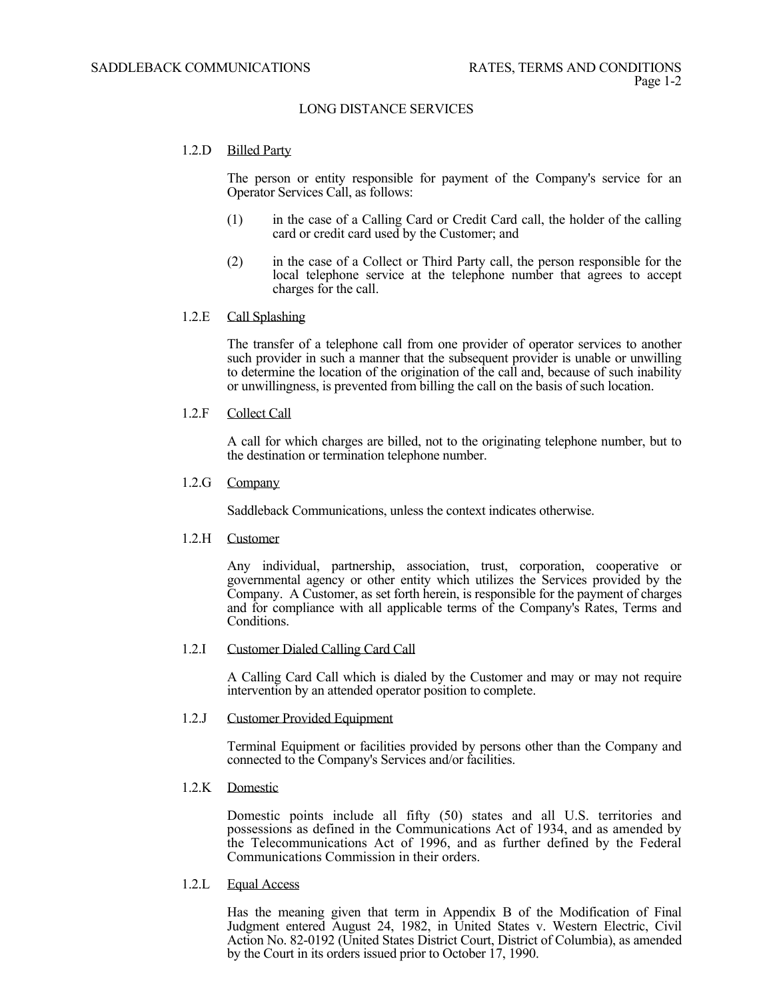# 1.2.D Billed Party

The person or entity responsible for payment of the Company's service for an Operator Services Call, as follows:

- (1) in the case of a Calling Card or Credit Card call, the holder of the calling card or credit card used by the Customer; and
- (2) in the case of a Collect or Third Party call, the person responsible for the local telephone service at the telephone number that agrees to accept charges for the call.

# 1.2.E Call Splashing

The transfer of a telephone call from one provider of operator services to another such provider in such a manner that the subsequent provider is unable or unwilling to determine the location of the origination of the call and, because of such inability or unwillingness, is prevented from billing the call on the basis of such location.

1.2.F Collect Call

A call for which charges are billed, not to the originating telephone number, but to the destination or termination telephone number.

1.2.G Company

Saddleback Communications, unless the context indicates otherwise.

1.2.H Customer

 Any individual, partnership, association, trust, corporation, cooperative or governmental agency or other entity which utilizes the Services provided by the Company. A Customer, as set forth herein, is responsible for the payment of charges and for compliance with all applicable terms of the Company's Rates, Terms and Conditions.

# 1.2.I Customer Dialed Calling Card Call

 A Calling Card Call which is dialed by the Customer and may or may not require intervention by an attended operator position to complete.

# 1.2.J Customer Provided Equipment

 Terminal Equipment or facilities provided by persons other than the Company and connected to the Company's Services and/or facilities.

# 1.2.K Domestic

 Domestic points include all fifty (50) states and all U.S. territories and possessions as defined in the Communications Act of 1934, and as amended by the Telecommunications Act of 1996, and as further defined by the Federal Communications Commission in their orders.

1.2.L Equal Access

 Has the meaning given that term in Appendix B of the Modification of Final Judgment entered August 24, 1982, in United States v. Western Electric, Civil Action No. 82-0192 (United States District Court, District of Columbia), as amended by the Court in its orders issued prior to October 17, 1990.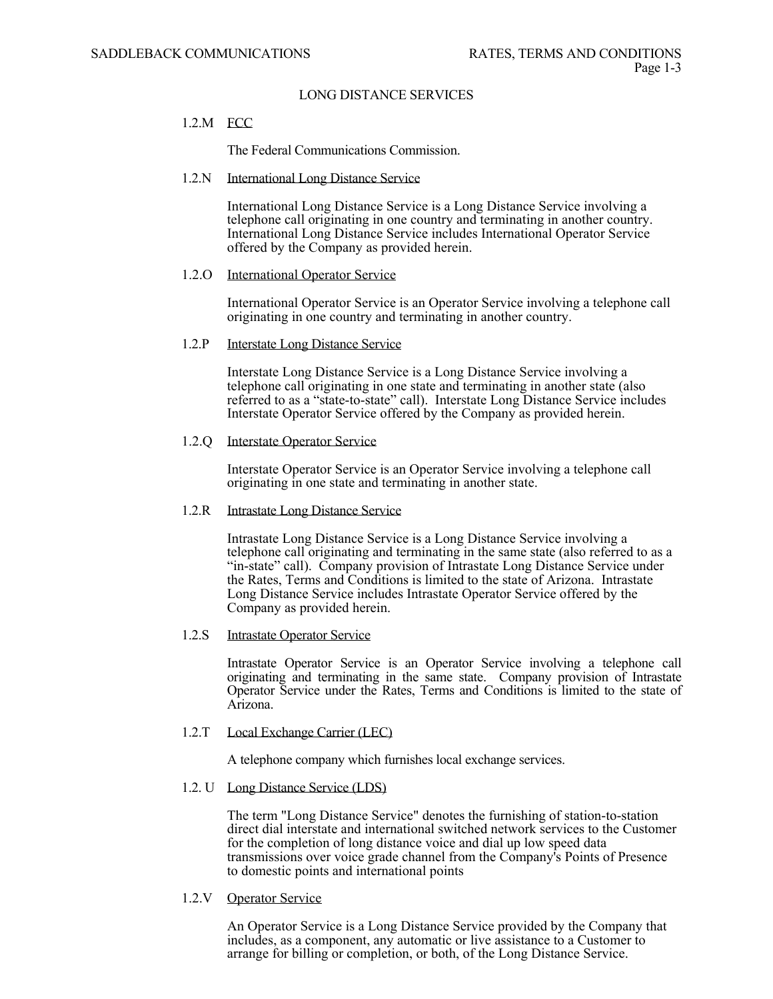# 1.2.M FCC

The Federal Communications Commission.

# 1.2.N International Long Distance Service

International Long Distance Service is a Long Distance Service involving a telephone call originating in one country and terminating in another country. International Long Distance Service includes International Operator Service offered by the Company as provided herein.

# 1.2.O International Operator Service

 International Operator Service is an Operator Service involving a telephone call originating in one country and terminating in another country.

#### 1.2.P Interstate Long Distance Service

Interstate Long Distance Service is a Long Distance Service involving a telephone call originating in one state and terminating in another state (also referred to as a "state-to-state" call). Interstate Long Distance Service includes Interstate Operator Service offered by the Company as provided herein.

# 1.2.Q Interstate Operator Service

Interstate Operator Service is an Operator Service involving a telephone call originating in one state and terminating in another state.

# 1.2.R Intrastate Long Distance Service

Intrastate Long Distance Service is a Long Distance Service involving a telephone call originating and terminating in the same state (also referred to as a "in-state" call). Company provision of Intrastate Long Distance Service under the Rates, Terms and Conditions is limited to the state of Arizona. Intrastate Long Distance Service includes Intrastate Operator Service offered by the Company as provided herein.

# 1.2.S Intrastate Operator Service

 Intrastate Operator Service is an Operator Service involving a telephone call originating and terminating in the same state. Company provision of Intrastate Operator Service under the Rates, Terms and Conditions is limited to the state of Arizona.

# 1.2.T Local Exchange Carrier (LEC)

A telephone company which furnishes local exchange services.

# 1.2. U Long Distance Service (LDS)

The term "Long Distance Service" denotes the furnishing of station-to-station direct dial interstate and international switched network services to the Customer for the completion of long distance voice and dial up low speed data transmissions over voice grade channel from the Company's Points of Presence to domestic points and international points

1.2.V Operator Service

An Operator Service is a Long Distance Service provided by the Company that includes, as a component, any automatic or live assistance to a Customer to arrange for billing or completion, or both, of the Long Distance Service.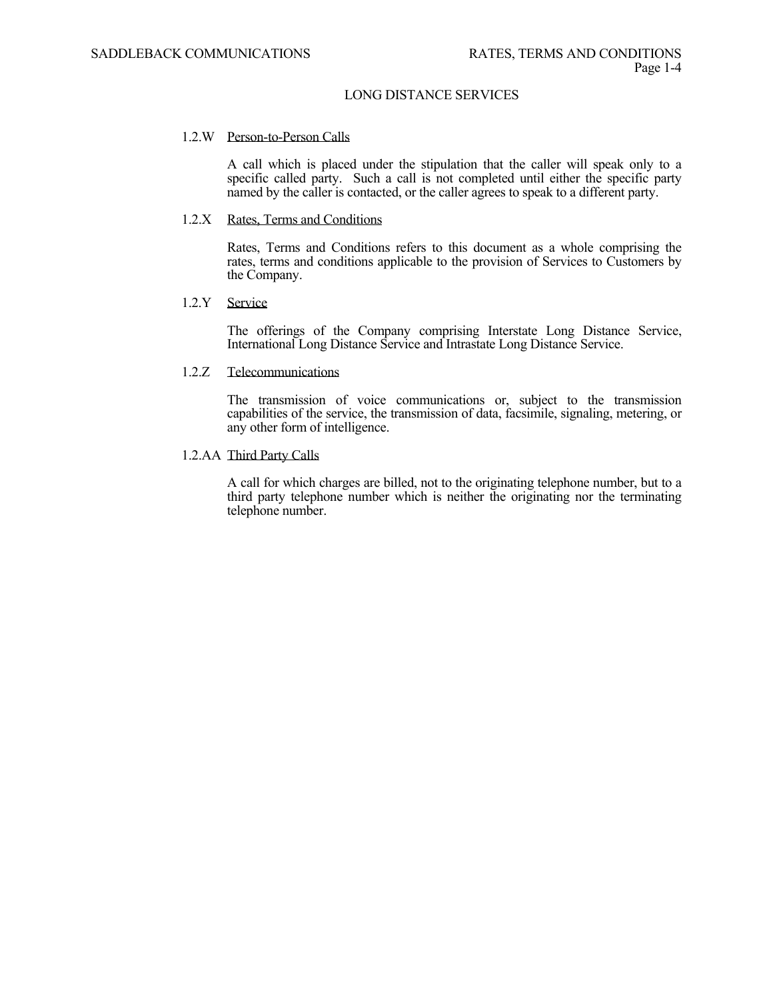#### 1.2.W Person-to-Person Calls

 A call which is placed under the stipulation that the caller will speak only to a specific called party. Such a call is not completed until either the specific party named by the caller is contacted, or the caller agrees to speak to a different party.

#### 1.2.X Rates, Terms and Conditions

 Rates, Terms and Conditions refers to this document as a whole comprising the rates, terms and conditions applicable to the provision of Services to Customers by the Company.

### 1.2.Y Service

 The offerings of the Company comprising Interstate Long Distance Service, International Long Distance Service and Intrastate Long Distance Service.

#### 1.2.Z Telecommunications

 The transmission of voice communications or, subject to the transmission capabilities of the service, the transmission of data, facsimile, signaling, metering, or any other form of intelligence.

#### 1.2.AA Third Party Calls

A call for which charges are billed, not to the originating telephone number, but to a third party telephone number which is neither the originating nor the terminating telephone number.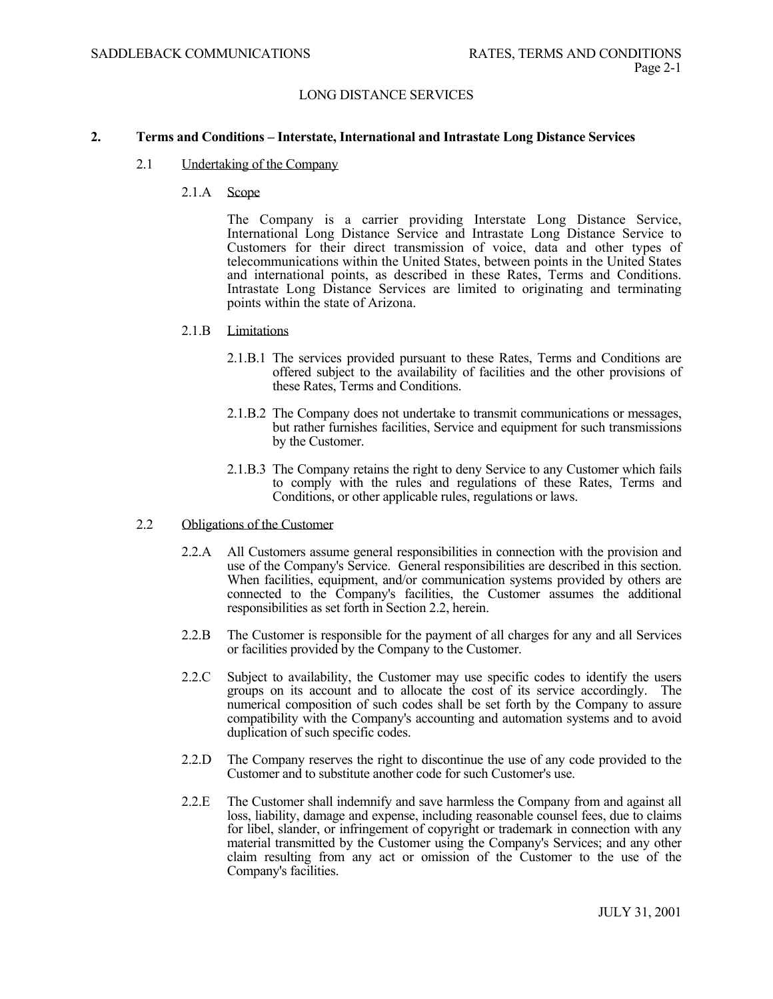#### **2. Terms and Conditions – Interstate, International and Intrastate Long Distance Services**

- 2.1 Undertaking of the Company
	- 2.1.A Scope

 The Company is a carrier providing Interstate Long Distance Service, International Long Distance Service and Intrastate Long Distance Service to Customers for their direct transmission of voice, data and other types of telecommunications within the United States, between points in the United States and international points, as described in these Rates, Terms and Conditions. Intrastate Long Distance Services are limited to originating and terminating points within the state of Arizona.

- 2.1.B Limitations
	- 2.1.B.1 The services provided pursuant to these Rates, Terms and Conditions are offered subject to the availability of facilities and the other provisions of these Rates, Terms and Conditions.
	- 2.1.B.2 The Company does not undertake to transmit communications or messages, but rather furnishes facilities, Service and equipment for such transmissions by the Customer.
	- 2.1.B.3 The Company retains the right to deny Service to any Customer which fails to comply with the rules and regulations of these Rates, Terms and Conditions, or other applicable rules, regulations or laws.
- 2.2 Obligations of the Customer
	- 2.2.A All Customers assume general responsibilities in connection with the provision and use of the Company's Service. General responsibilities are described in this section. When facilities, equipment, and/or communication systems provided by others are connected to the Company's facilities, the Customer assumes the additional responsibilities as set forth in Section 2.2, herein.
	- 2.2.B The Customer is responsible for the payment of all charges for any and all Services or facilities provided by the Company to the Customer.
	- 2.2.C Subject to availability, the Customer may use specific codes to identify the users groups on its account and to allocate the cost of its service accordingly. The numerical composition of such codes shall be set forth by the Company to assure compatibility with the Company's accounting and automation systems and to avoid duplication of such specific codes.
	- 2.2.D The Company reserves the right to discontinue the use of any code provided to the Customer and to substitute another code for such Customer's use.
	- 2.2.E The Customer shall indemnify and save harmless the Company from and against all loss, liability, damage and expense, including reasonable counsel fees, due to claims for libel, slander, or infringement of copyright or trademark in connection with any material transmitted by the Customer using the Company's Services; and any other claim resulting from any act or omission of the Customer to the use of the Company's facilities.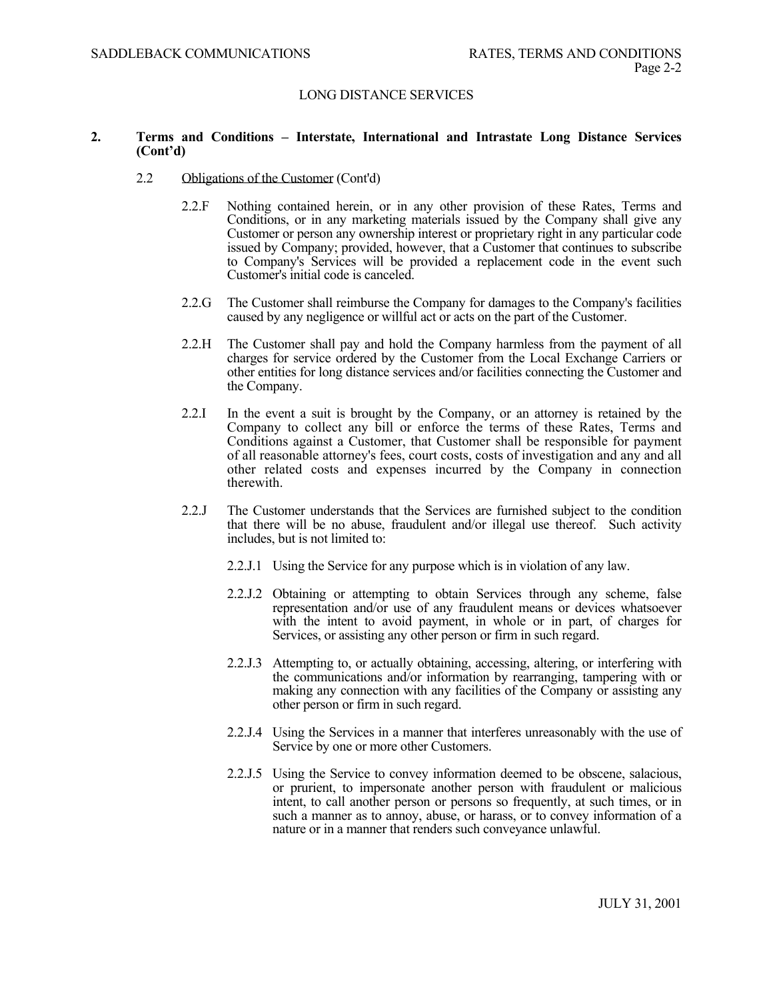#### **2. Terms and Conditions – Interstate, International and Intrastate Long Distance Services (Cont'd)**

- 2.2 Obligations of the Customer (Cont'd)
	- 2.2.F Nothing contained herein, or in any other provision of these Rates, Terms and Conditions, or in any marketing materials issued by the Company shall give any Customer or person any ownership interest or proprietary right in any particular code issued by Company; provided, however, that a Customer that continues to subscribe to Company's Services will be provided a replacement code in the event such Customer's initial code is canceled.
	- 2.2.G The Customer shall reimburse the Company for damages to the Company's facilities caused by any negligence or willful act or acts on the part of the Customer.
	- 2.2.H The Customer shall pay and hold the Company harmless from the payment of all charges for service ordered by the Customer from the Local Exchange Carriers or other entities for long distance services and/or facilities connecting the Customer and the Company.
	- 2.2.I In the event a suit is brought by the Company, or an attorney is retained by the Company to collect any bill or enforce the terms of these Rates, Terms and Conditions against a Customer, that Customer shall be responsible for payment of all reasonable attorney's fees, court costs, costs of investigation and any and all other related costs and expenses incurred by the Company in connection therewith.
	- 2.2.J The Customer understands that the Services are furnished subject to the condition that there will be no abuse, fraudulent and/or illegal use thereof. Such activity includes, but is not limited to:
		- 2.2.J.1 Using the Service for any purpose which is in violation of any law.
		- 2.2.J.2 Obtaining or attempting to obtain Services through any scheme, false representation and/or use of any fraudulent means or devices whatsoever with the intent to avoid payment, in whole or in part, of charges for Services, or assisting any other person or firm in such regard.
		- 2.2.J.3 Attempting to, or actually obtaining, accessing, altering, or interfering with the communications and/or information by rearranging, tampering with or making any connection with any facilities of the Company or assisting any other person or firm in such regard.
		- 2.2.J.4 Using the Services in a manner that interferes unreasonably with the use of Service by one or more other Customers.
		- 2.2.J.5 Using the Service to convey information deemed to be obscene, salacious, or prurient, to impersonate another person with fraudulent or malicious intent, to call another person or persons so frequently, at such times, or in such a manner as to annoy, abuse, or harass, or to convey information of a nature or in a manner that renders such conveyance unlawful.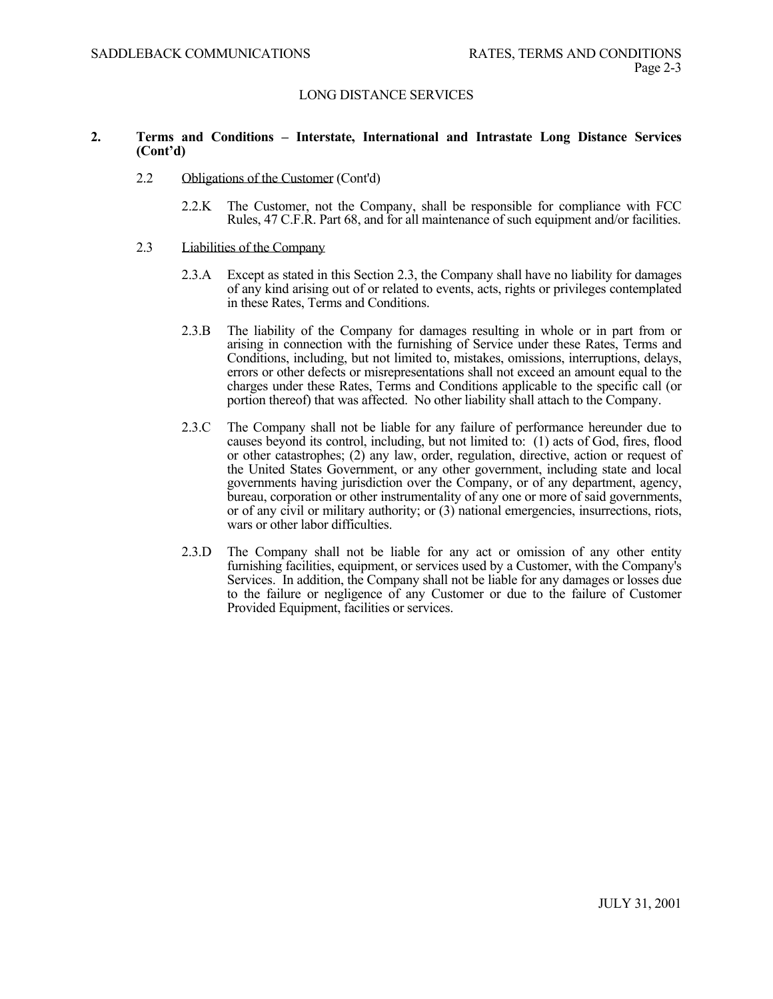### **2. Terms and Conditions – Interstate, International and Intrastate Long Distance Services (Cont'd)**

- 2.2 Obligations of the Customer (Cont'd)
	- 2.2.K The Customer, not the Company, shall be responsible for compliance with FCC Rules, 47 C.F.R. Part 68, and for all maintenance of such equipment and/or facilities.
- 2.3 Liabilities of the Company
	- 2.3.A Except as stated in this Section 2.3, the Company shall have no liability for damages of any kind arising out of or related to events, acts, rights or privileges contemplated in these Rates, Terms and Conditions.
	- 2.3.B The liability of the Company for damages resulting in whole or in part from or arising in connection with the furnishing of Service under these Rates, Terms and Conditions, including, but not limited to, mistakes, omissions, interruptions, delays, errors or other defects or misrepresentations shall not exceed an amount equal to the charges under these Rates, Terms and Conditions applicable to the specific call (or portion thereof) that was affected. No other liability shall attach to the Company.
	- 2.3.C The Company shall not be liable for any failure of performance hereunder due to causes beyond its control, including, but not limited to: (1) acts of God, fires, flood or other catastrophes; (2) any law, order, regulation, directive, action or request of the United States Government, or any other government, including state and local governments having jurisdiction over the Company, or of any department, agency, bureau, corporation or other instrumentality of any one or more of said governments, or of any civil or military authority; or (3) national emergencies, insurrections, riots, wars or other labor difficulties.
	- 2.3.D The Company shall not be liable for any act or omission of any other entity furnishing facilities, equipment, or services used by a Customer, with the Company's Services. In addition, the Company shall not be liable for any damages or losses due to the failure or negligence of any Customer or due to the failure of Customer Provided Equipment, facilities or services.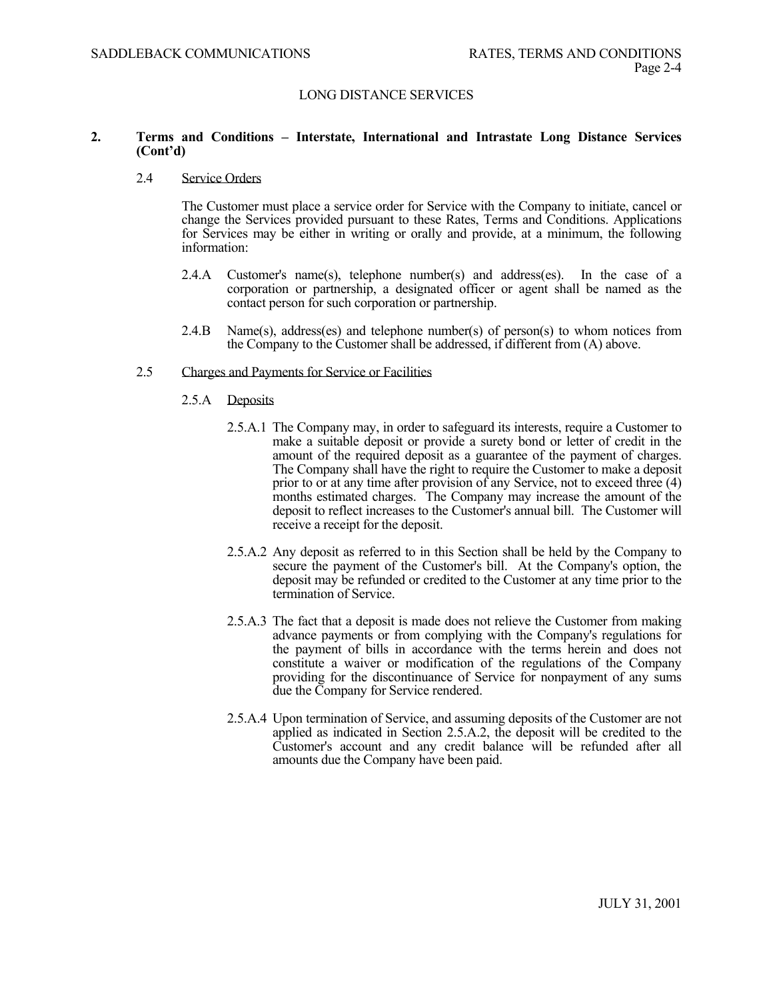### **2. Terms and Conditions – Interstate, International and Intrastate Long Distance Services (Cont'd)**

#### 2.4 Service Orders

 The Customer must place a service order for Service with the Company to initiate, cancel or change the Services provided pursuant to these Rates, Terms and Conditions. Applications for Services may be either in writing or orally and provide, at a minimum, the following information:

- 2.4.A Customer's name(s), telephone number(s) and address(es). In the case of a corporation or partnership, a designated officer or agent shall be named as the contact person for such corporation or partnership.
- 2.4.B Name(s), address(es) and telephone number(s) of person(s) to whom notices from the Company to the Customer shall be addressed, if different from (A) above.

#### 2.5 Charges and Payments for Service or Facilities

- 2.5.A Deposits
	- 2.5.A.1 The Company may, in order to safeguard its interests, require a Customer to make a suitable deposit or provide a surety bond or letter of credit in the amount of the required deposit as a guarantee of the payment of charges. The Company shall have the right to require the Customer to make a deposit prior to or at any time after provision of any Service, not to exceed three (4) months estimated charges. The Company may increase the amount of the deposit to reflect increases to the Customer's annual bill. The Customer will receive a receipt for the deposit.
	- 2.5.A.2 Any deposit as referred to in this Section shall be held by the Company to secure the payment of the Customer's bill. At the Company's option, the deposit may be refunded or credited to the Customer at any time prior to the termination of Service.
	- 2.5.A.3 The fact that a deposit is made does not relieve the Customer from making advance payments or from complying with the Company's regulations for the payment of bills in accordance with the terms herein and does not constitute a waiver or modification of the regulations of the Company providing for the discontinuance of Service for nonpayment of any sums due the Company for Service rendered.
	- 2.5.A.4 Upon termination of Service, and assuming deposits of the Customer are not applied as indicated in Section 2.5.A.2, the deposit will be credited to the Customer's account and any credit balance will be refunded after all amounts due the Company have been paid.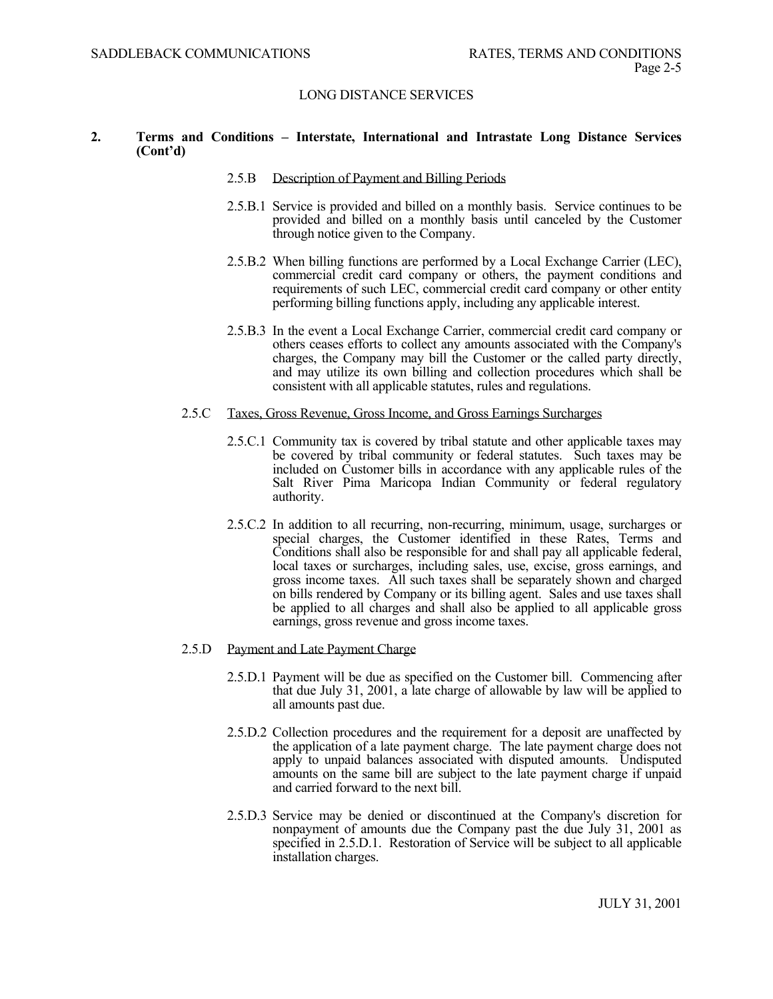### **2. Terms and Conditions – Interstate, International and Intrastate Long Distance Services (Cont'd)**

- 2.5.B Description of Payment and Billing Periods
- 2.5.B.1 Service is provided and billed on a monthly basis. Service continues to be provided and billed on a monthly basis until canceled by the Customer through notice given to the Company.
- 2.5.B.2 When billing functions are performed by a Local Exchange Carrier (LEC), commercial credit card company or others, the payment conditions and requirements of such LEC, commercial credit card company or other entity performing billing functions apply, including any applicable interest.
- 2.5.B.3 In the event a Local Exchange Carrier, commercial credit card company or others ceases efforts to collect any amounts associated with the Company's charges, the Company may bill the Customer or the called party directly, and may utilize its own billing and collection procedures which shall be consistent with all applicable statutes, rules and regulations.

#### 2.5.C Taxes, Gross Revenue, Gross Income, and Gross Earnings Surcharges

- 2.5.C.1 Community tax is covered by tribal statute and other applicable taxes may be covered by tribal community or federal statutes. Such taxes may be included on Customer bills in accordance with any applicable rules of the Salt River Pima Maricopa Indian Community or federal regulatory authority.
- 2.5.C.2 In addition to all recurring, non-recurring, minimum, usage, surcharges or special charges, the Customer identified in these Rates, Terms and Conditions shall also be responsible for and shall pay all applicable federal, local taxes or surcharges, including sales, use, excise, gross earnings, and gross income taxes. All such taxes shall be separately shown and charged on bills rendered by Company or its billing agent. Sales and use taxes shall be applied to all charges and shall also be applied to all applicable gross earnings, gross revenue and gross income taxes.

# 2.5.D Payment and Late Payment Charge

- 2.5.D.1 Payment will be due as specified on the Customer bill. Commencing after that due July 31, 2001, a late charge of allowable by law will be applied to all amounts past due.
- 2.5.D.2 Collection procedures and the requirement for a deposit are unaffected by the application of a late payment charge. The late payment charge does not apply to unpaid balances associated with disputed amounts. Undisputed amounts on the same bill are subject to the late payment charge if unpaid and carried forward to the next bill.
- 2.5.D.3 Service may be denied or discontinued at the Company's discretion for nonpayment of amounts due the Company past the due July 31, 2001 as specified in 2.5.D.1. Restoration of Service will be subject to all applicable installation charges.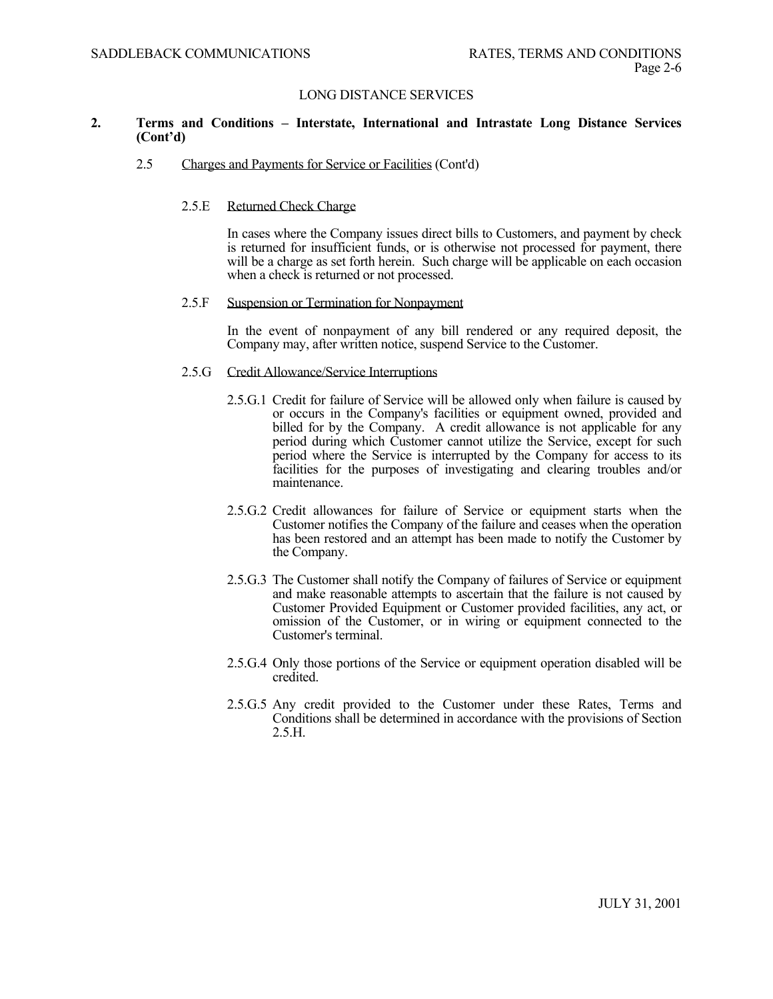## **2. Terms and Conditions – Interstate, International and Intrastate Long Distance Services (Cont'd)**

#### 2.5 Charges and Payments for Service or Facilities (Cont'd)

## 2.5.E Returned Check Charge

 In cases where the Company issues direct bills to Customers, and payment by check is returned for insufficient funds, or is otherwise not processed for payment, there will be a charge as set forth herein. Such charge will be applicable on each occasion when a check is returned or not processed.

#### 2.5.F Suspension or Termination for Nonpayment

 In the event of nonpayment of any bill rendered or any required deposit, the Company may, after written notice, suspend Service to the Customer.

### 2.5.G Credit Allowance/Service Interruptions

- 2.5.G.1 Credit for failure of Service will be allowed only when failure is caused by or occurs in the Company's facilities or equipment owned, provided and billed for by the Company. A credit allowance is not applicable for any period during which Customer cannot utilize the Service, except for such period where the Service is interrupted by the Company for access to its facilities for the purposes of investigating and clearing troubles and/or maintenance.
- 2.5.G.2 Credit allowances for failure of Service or equipment starts when the Customer notifies the Company of the failure and ceases when the operation has been restored and an attempt has been made to notify the Customer by the Company.
- 2.5.G.3 The Customer shall notify the Company of failures of Service or equipment and make reasonable attempts to ascertain that the failure is not caused by Customer Provided Equipment or Customer provided facilities, any act, or omission of the Customer, or in wiring or equipment connected to the Customer's terminal.
- 2.5.G.4 Only those portions of the Service or equipment operation disabled will be credited.
- 2.5.G.5 Any credit provided to the Customer under these Rates, Terms and Conditions shall be determined in accordance with the provisions of Section 2.5.H.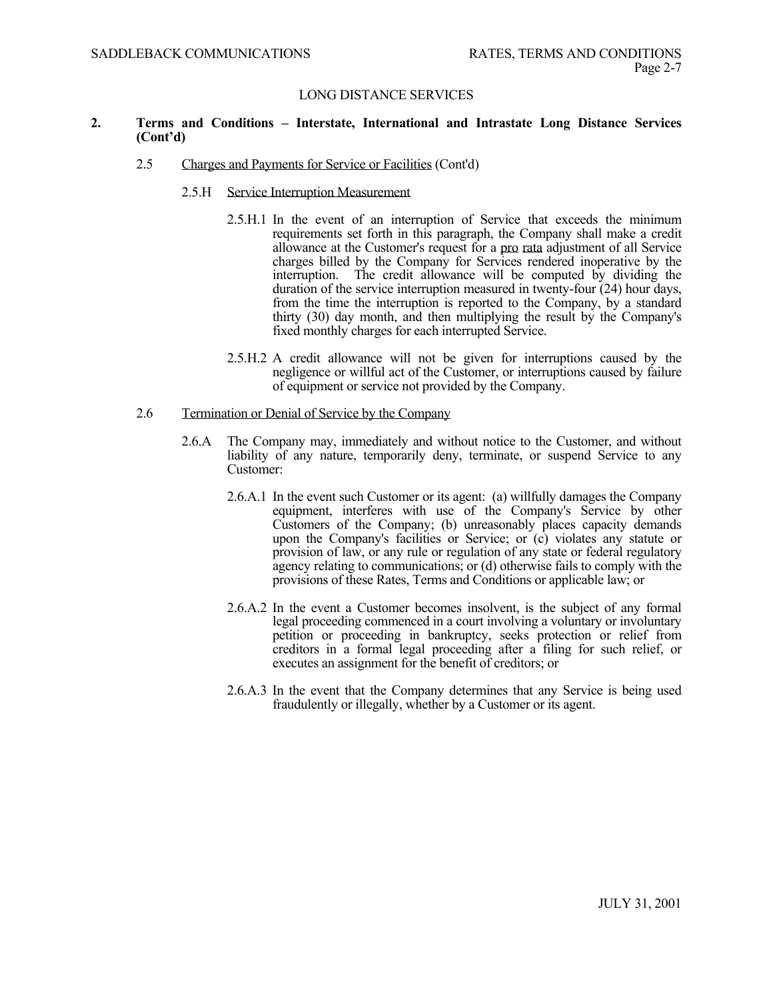### **2. Terms and Conditions – Interstate, International and Intrastate Long Distance Services (Cont'd)**

- 2.5 Charges and Payments for Service or Facilities (Cont'd)
	- 2.5.H Service Interruption Measurement
		- 2.5.H.1 In the event of an interruption of Service that exceeds the minimum requirements set forth in this paragraph, the Company shall make a credit allowance at the Customer's request for a pro rata adjustment of all Service charges billed by the Company for Services rendered inoperative by the interruption. The credit allowance will be computed by dividing the The credit allowance will be computed by dividing the duration of the service interruption measured in twenty-four (24) hour days, from the time the interruption is reported to the Company, by a standard thirty (30) day month, and then multiplying the result by the Company's fixed monthly charges for each interrupted Service.
		- 2.5.H.2 A credit allowance will not be given for interruptions caused by the negligence or willful act of the Customer, or interruptions caused by failure of equipment or service not provided by the Company.

#### 2.6 Termination or Denial of Service by the Company

- 2.6.A The Company may, immediately and without notice to the Customer, and without liability of any nature, temporarily deny, terminate, or suspend Service to any Customer:
	- 2.6.A.1 In the event such Customer or its agent: (a) willfully damages the Company equipment, interferes with use of the Company's Service by other Customers of the Company; (b) unreasonably places capacity demands upon the Company's facilities or Service; or (c) violates any statute or provision of law, or any rule or regulation of any state or federal regulatory agency relating to communications; or (d) otherwise fails to comply with the provisions of these Rates, Terms and Conditions or applicable law; or
	- 2.6.A.2 In the event a Customer becomes insolvent, is the subject of any formal legal proceeding commenced in a court involving a voluntary or involuntary petition or proceeding in bankruptcy, seeks protection or relief from creditors in a formal legal proceeding after a filing for such relief, or executes an assignment for the benefit of creditors; or
	- 2.6.A.3 In the event that the Company determines that any Service is being used fraudulently or illegally, whether by a Customer or its agent.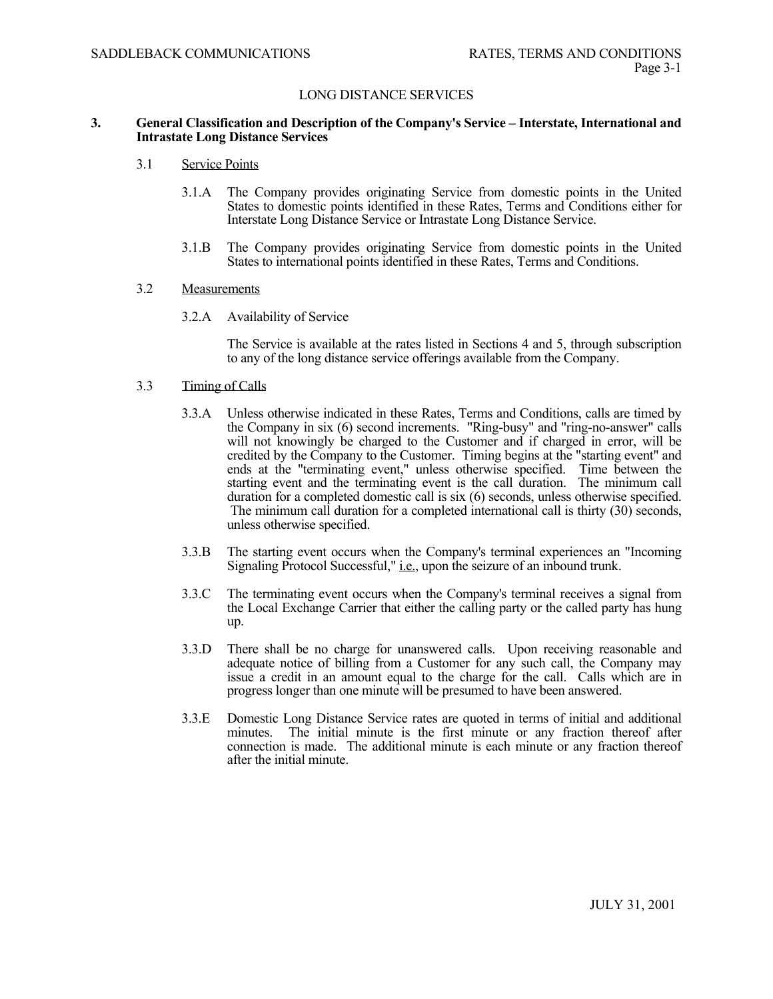#### **3. General Classification and Description of the Company's Service – Interstate, International and Intrastate Long Distance Services**

#### 3.1 Service Points

- 3.1.A The Company provides originating Service from domestic points in the United States to domestic points identified in these Rates, Terms and Conditions either for Interstate Long Distance Service or Intrastate Long Distance Service.
- 3.1.B The Company provides originating Service from domestic points in the United States to international points identified in these Rates, Terms and Conditions.

#### 3.2 Measurements

3.2.A Availability of Service

The Service is available at the rates listed in Sections 4 and 5, through subscription to any of the long distance service offerings available from the Company.

#### 3.3 Timing of Calls

- 3.3.A Unless otherwise indicated in these Rates, Terms and Conditions, calls are timed by the Company in six (6) second increments. "Ring-busy" and "ring-no-answer" calls will not knowingly be charged to the Customer and if charged in error, will be credited by the Company to the Customer. Timing begins at the "starting event" and ends at the "terminating event," unless otherwise specified. Time between the starting event and the terminating event is the call duration. The minimum call duration for a completed domestic call is six (6) seconds, unless otherwise specified. The minimum call duration for a completed international call is thirty (30) seconds, unless otherwise specified.
- 3.3.B The starting event occurs when the Company's terminal experiences an "Incoming Signaling Protocol Successful," i.e., upon the seizure of an inbound trunk.
- 3.3.C The terminating event occurs when the Company's terminal receives a signal from the Local Exchange Carrier that either the calling party or the called party has hung up.
- 3.3.D There shall be no charge for unanswered calls. Upon receiving reasonable and adequate notice of billing from a Customer for any such call, the Company may issue a credit in an amount equal to the charge for the call. Calls which are in progress longer than one minute will be presumed to have been answered.
- 3.3.E Domestic Long Distance Service rates are quoted in terms of initial and additional minutes. The initial minute is the first minute or any fraction thereof after connection is made. The additional minute is each minute or any fraction thereof after the initial minute.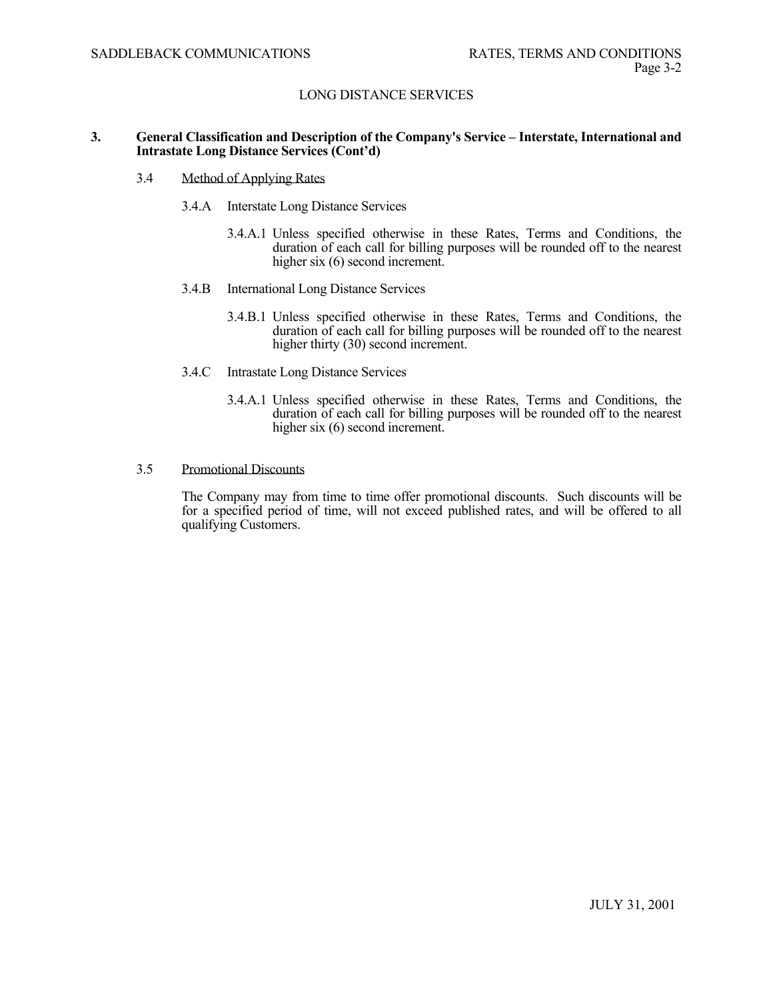#### **3. General Classification and Description of the Company's Service – Interstate, International and Intrastate Long Distance Services (Cont'd)**

- 3.4 Method of Applying Rates
	- 3.4.A Interstate Long Distance Services
		- 3.4.A.1 Unless specified otherwise in these Rates, Terms and Conditions, the duration of each call for billing purposes will be rounded off to the nearest higher six (6) second increment.
	- 3.4.B International Long Distance Services
		- 3.4.B.1 Unless specified otherwise in these Rates, Terms and Conditions, the duration of each call for billing purposes will be rounded off to the nearest higher thirty (30) second increment.
	- 3.4.C Intrastate Long Distance Services
		- 3.4.A.1 Unless specified otherwise in these Rates, Terms and Conditions, the duration of each call for billing purposes will be rounded off to the nearest higher six (6) second increment.
- 3.5 Promotional Discounts

 The Company may from time to time offer promotional discounts. Such discounts will be for a specified period of time, will not exceed published rates, and will be offered to all qualifying Customers.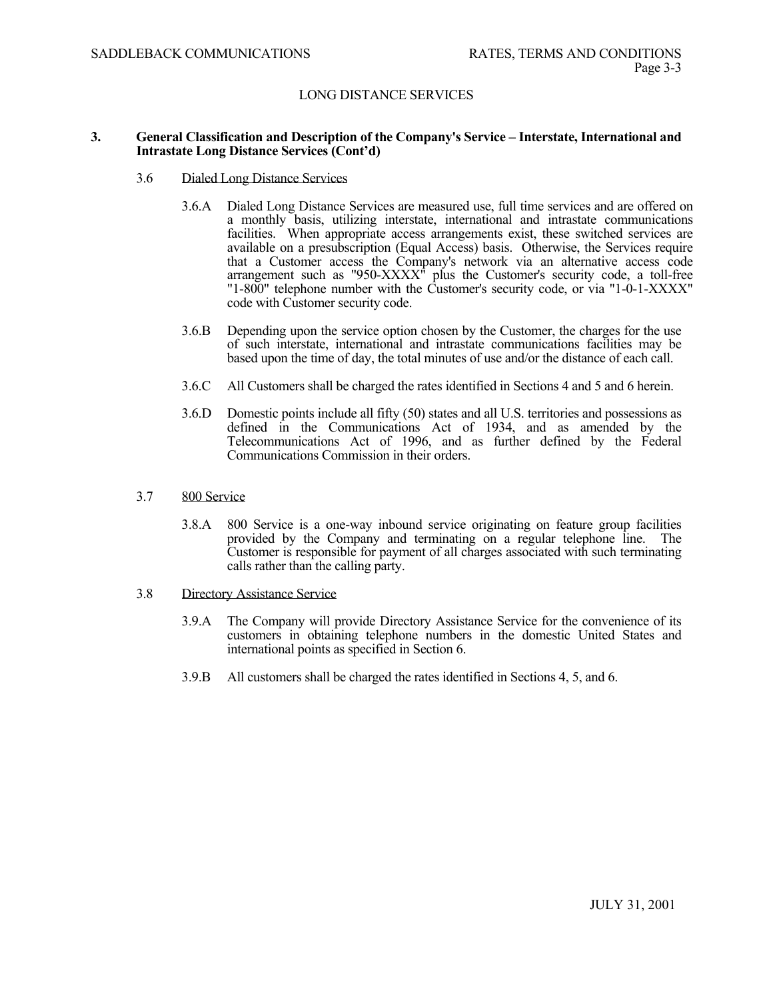#### **3. General Classification and Description of the Company's Service – Interstate, International and Intrastate Long Distance Services (Cont'd)**

- 3.6 Dialed Long Distance Services
	- 3.6.A Dialed Long Distance Services are measured use, full time services and are offered on a monthly basis, utilizing interstate, international and intrastate communications facilities. When appropriate access arrangements exist, these switched services are available on a presubscription (Equal Access) basis. Otherwise, the Services require that a Customer access the Company's network via an alternative access code arrangement such as "950-XXXX" plus the Customer's security code, a toll-free "1-800" telephone number with the Customer's security code, or via "1-0-1-XXXX" code with Customer security code.
	- 3.6.B Depending upon the service option chosen by the Customer, the charges for the use of such interstate, international and intrastate communications facilities may be based upon the time of day, the total minutes of use and/or the distance of each call.
	- 3.6.C All Customers shall be charged the rates identified in Sections 4 and 5 and 6 herein.
	- 3.6.D Domestic points include all fifty (50) states and all U.S. territories and possessions as defined in the Communications Act of 1934, and as amended by the Telecommunications Act of 1996, and as further defined by the Federal Communications Commission in their orders.
- 3.7 800 Service
	- 3.8.A 800 Service is a one-way inbound service originating on feature group facilities provided by the Company and terminating on a regular telephone line. The Customer is responsible for payment of all charges associated with such terminating calls rather than the calling party.
- 3.8 Directory Assistance Service
	- 3.9.A The Company will provide Directory Assistance Service for the convenience of its customers in obtaining telephone numbers in the domestic United States and international points as specified in Section 6.
	- 3.9.B All customers shall be charged the rates identified in Sections 4, 5, and 6.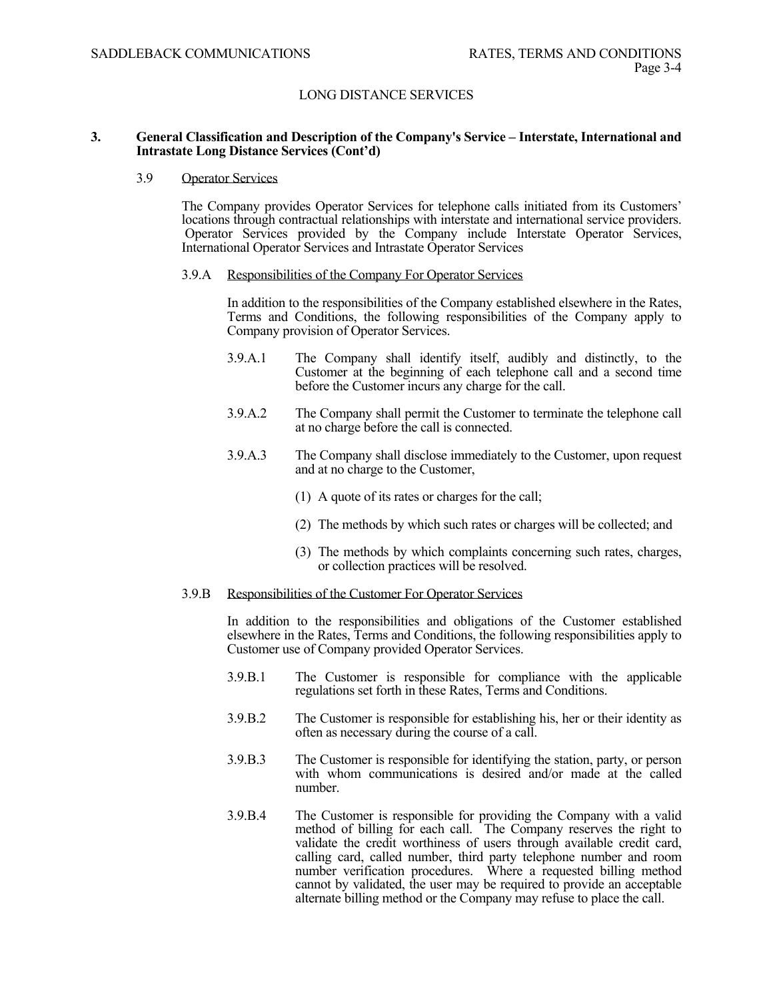#### **3. General Classification and Description of the Company's Service – Interstate, International and Intrastate Long Distance Services (Cont'd)**

#### 3.9 Operator Services

The Company provides Operator Services for telephone calls initiated from its Customers' locations through contractual relationships with interstate and international service providers. Operator Services provided by the Company include Interstate Operator Services, International Operator Services and Intrastate Operator Services

#### 3.9.A Responsibilities of the Company For Operator Services

In addition to the responsibilities of the Company established elsewhere in the Rates, Terms and Conditions, the following responsibilities of the Company apply to Company provision of Operator Services.

- 3.9.A.1 The Company shall identify itself, audibly and distinctly, to the Customer at the beginning of each telephone call and a second time before the Customer incurs any charge for the call.
- 3.9.A.2 The Company shall permit the Customer to terminate the telephone call at no charge before the call is connected.
- 3.9.A.3 The Company shall disclose immediately to the Customer, upon request and at no charge to the Customer,
	- (1) A quote of its rates or charges for the call;
	- (2) The methods by which such rates or charges will be collected; and
	- (3) The methods by which complaints concerning such rates, charges, or collection practices will be resolved.

#### 3.9.B Responsibilities of the Customer For Operator Services

In addition to the responsibilities and obligations of the Customer established elsewhere in the Rates, Terms and Conditions, the following responsibilities apply to Customer use of Company provided Operator Services.

- 3.9.B.1 The Customer is responsible for compliance with the applicable regulations set forth in these Rates, Terms and Conditions.
- 3.9.B.2 The Customer is responsible for establishing his, her or their identity as often as necessary during the course of a call.
- 3.9.B.3 The Customer is responsible for identifying the station, party, or person with whom communications is desired and/or made at the called number.
- 3.9.B.4 The Customer is responsible for providing the Company with a valid method of billing for each call. The Company reserves the right to validate the credit worthiness of users through available credit card, calling card, called number, third party telephone number and room number verification procedures. Where a requested billing method cannot by validated, the user may be required to provide an acceptable alternate billing method or the Company may refuse to place the call.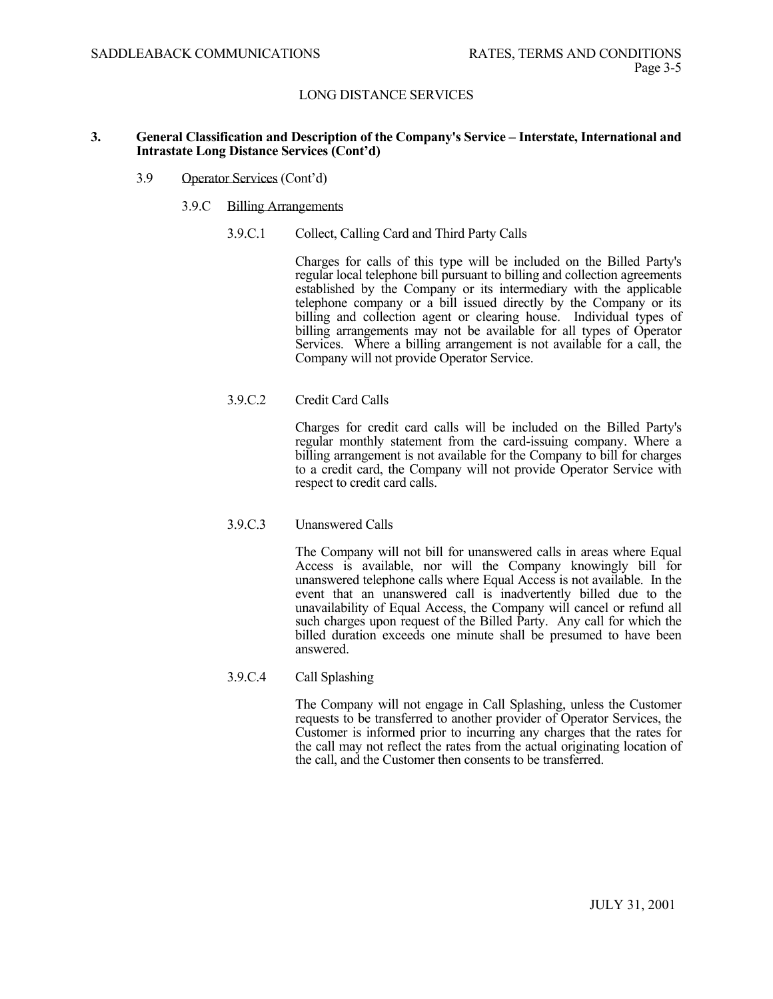#### **3. General Classification and Description of the Company's Service – Interstate, International and Intrastate Long Distance Services (Cont'd)**

- 3.9 Operator Services (Cont'd)
	- 3.9.C Billing Arrangements
		- 3.9.C.1 Collect, Calling Card and Third Party Calls

 Charges for calls of this type will be included on the Billed Party's regular local telephone bill pursuant to billing and collection agreements established by the Company or its intermediary with the applicable telephone company or a bill issued directly by the Company or its billing and collection agent or clearing house. Individual types of billing arrangements may not be available for all types of Operator Services. Where a billing arrangement is not available for a call, the Company will not provide Operator Service.

# 3.9.C.2 Credit Card Calls

 Charges for credit card calls will be included on the Billed Party's regular monthly statement from the card-issuing company. Where a billing arrangement is not available for the Company to bill for charges to a credit card, the Company will not provide Operator Service with respect to credit card calls.

# 3.9.C.3 Unanswered Calls

The Company will not bill for unanswered calls in areas where Equal Access is available, nor will the Company knowingly bill for unanswered telephone calls where Equal Access is not available. In the event that an unanswered call is inadvertently billed due to the unavailability of Equal Access, the Company will cancel or refund all such charges upon request of the Billed Party. Any call for which the billed duration exceeds one minute shall be presumed to have been answered.

# 3.9.C.4 Call Splashing

The Company will not engage in Call Splashing, unless the Customer requests to be transferred to another provider of Operator Services, the Customer is informed prior to incurring any charges that the rates for the call may not reflect the rates from the actual originating location of the call, and the Customer then consents to be transferred.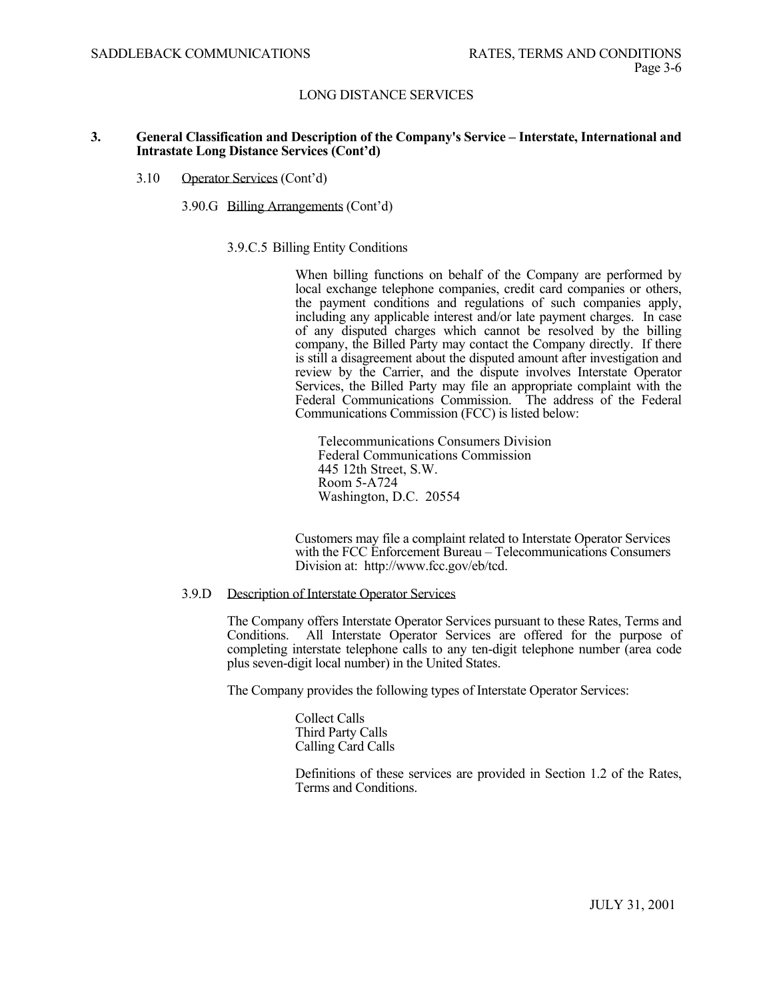#### **3. General Classification and Description of the Company's Service – Interstate, International and Intrastate Long Distance Services (Cont'd)**

#### 3.10 Operator Services (Cont'd)

#### 3.90.G Billing Arrangements (Cont'd)

#### 3.9.C.5 Billing Entity Conditions

When billing functions on behalf of the Company are performed by local exchange telephone companies, credit card companies or others, the payment conditions and regulations of such companies apply, including any applicable interest and/or late payment charges. In case of any disputed charges which cannot be resolved by the billing company, the Billed Party may contact the Company directly. If there is still a disagreement about the disputed amount after investigation and review by the Carrier, and the dispute involves Interstate Operator Services, the Billed Party may file an appropriate complaint with the Federal Communications Commission. The address of the Federal Communications Commission (FCC) is listed below:

 Telecommunications Consumers Division Federal Communications Commission 445 12th Street, S.W. Room 5-A724 Washington, D.C. 20554

Customers may file a complaint related to Interstate Operator Services with the FCC Enforcement Bureau – Telecommunications Consumers Division at: http://www.fcc.gov/eb/tcd.

#### 3.9.D Description of Interstate Operator Services

The Company offers Interstate Operator Services pursuant to these Rates, Terms and Conditions. All Interstate Operator Services are offered for the purpose of completing interstate telephone calls to any ten-digit telephone number (area code plus seven-digit local number) in the United States.

The Company provides the following types of Interstate Operator Services:

Collect Calls Third Party Calls Calling Card Calls

Definitions of these services are provided in Section 1.2 of the Rates, Terms and Conditions.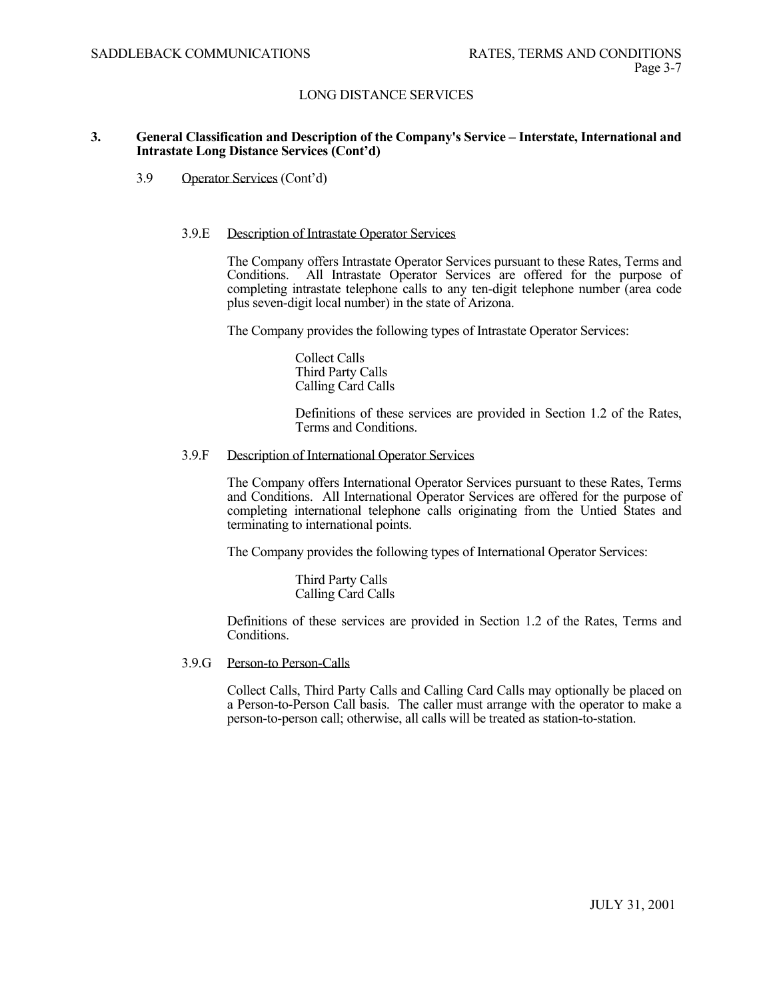#### **3. General Classification and Description of the Company's Service – Interstate, International and Intrastate Long Distance Services (Cont'd)**

3.9 Operator Services (Cont'd)

#### 3.9.E Description of Intrastate Operator Services

The Company offers Intrastate Operator Services pursuant to these Rates, Terms and Conditions. All Intrastate Operator Services are offered for the purpose of completing intrastate telephone calls to any ten-digit telephone number (area code plus seven-digit local number) in the state of Arizona.

The Company provides the following types of Intrastate Operator Services:

Collect Calls Third Party Calls Calling Card Calls

Definitions of these services are provided in Section 1.2 of the Rates, Terms and Conditions.

#### 3.9.F Description of International Operator Services

The Company offers International Operator Services pursuant to these Rates, Terms and Conditions. All International Operator Services are offered for the purpose of completing international telephone calls originating from the Untied States and terminating to international points.

The Company provides the following types of International Operator Services:

Third Party Calls Calling Card Calls

Definitions of these services are provided in Section 1.2 of the Rates, Terms and Conditions.

3.9.G Person-to Person-Calls

Collect Calls, Third Party Calls and Calling Card Calls may optionally be placed on a Person-to-Person Call basis. The caller must arrange with the operator to make a person-to-person call; otherwise, all calls will be treated as station-to-station.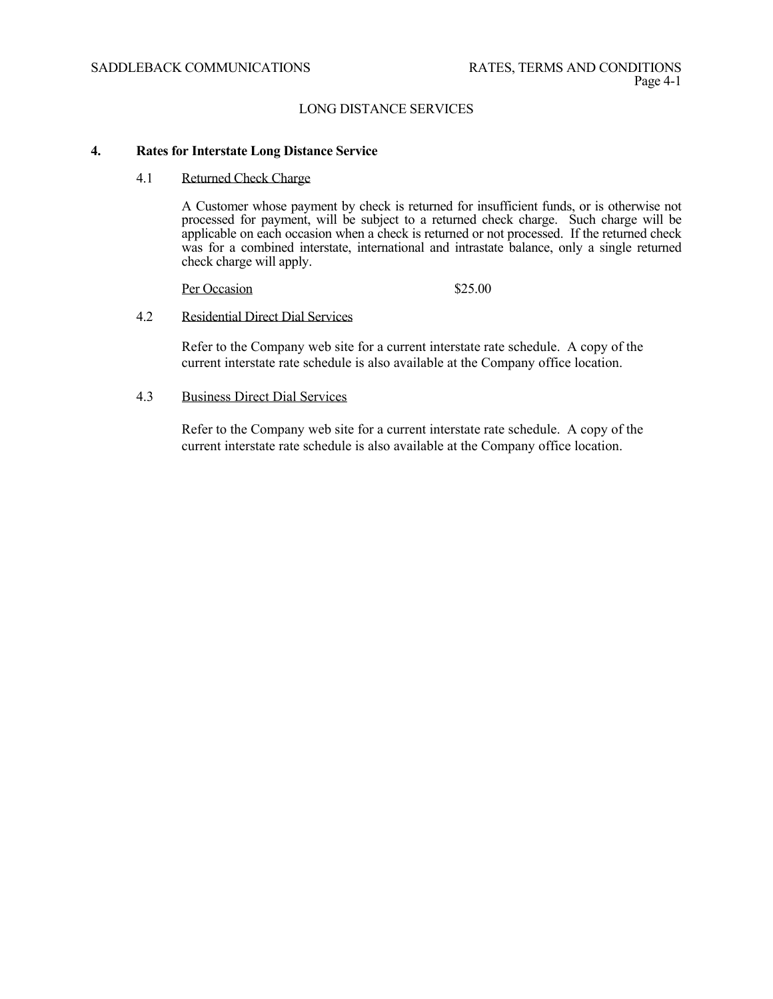## SADDLEBACK COMMUNICATIONS RATES, TERMS AND CONDITIONS

# LONG DISTANCE SERVICES

## **4. Rates for Interstate Long Distance Service**

## 4.1 Returned Check Charge

 A Customer whose payment by check is returned for insufficient funds, or is otherwise not processed for payment, will be subject to a returned check charge. Such charge will be applicable on each occasion when a check is returned or not processed. If the returned check was for a combined interstate, international and intrastate balance, only a single returned check charge will apply.

Per Occasion \$25.00

#### 4.2 Residential Direct Dial Services

Refer to the Company web site for a current interstate rate schedule. A copy of the current interstate rate schedule is also available at the Company office location.

4.3 Business Direct Dial Services

Refer to the Company web site for a current interstate rate schedule. A copy of the current interstate rate schedule is also available at the Company office location.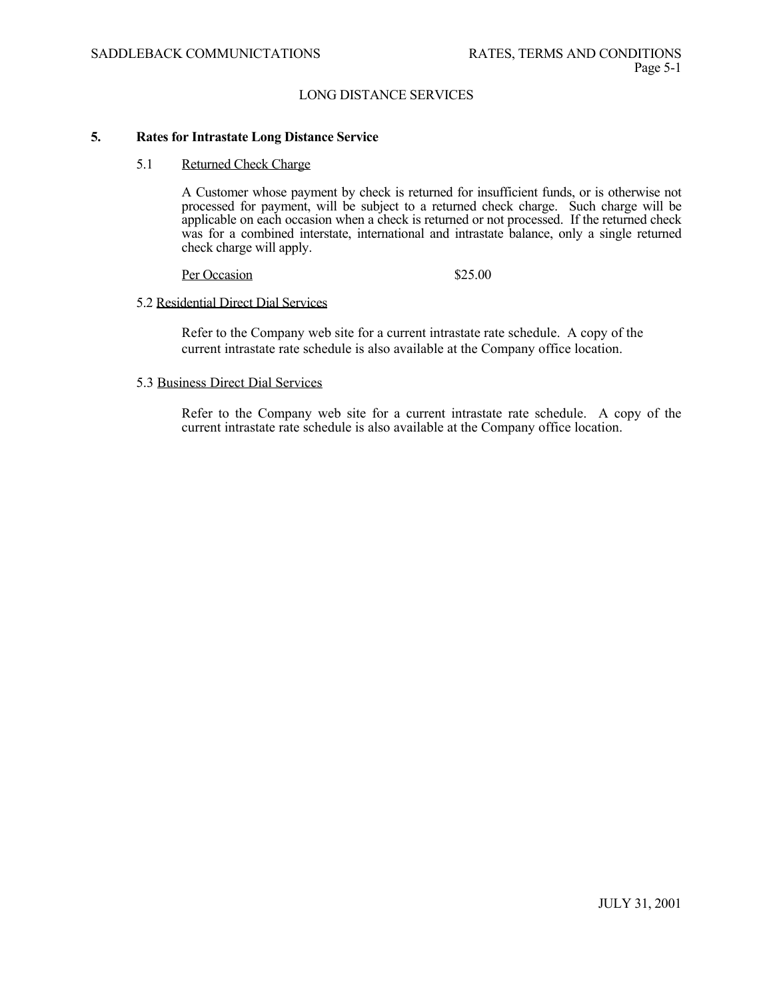#### **5. Rates for Intrastate Long Distance Service**

## 5.1 Returned Check Charge

 A Customer whose payment by check is returned for insufficient funds, or is otherwise not processed for payment, will be subject to a returned check charge. Such charge will be applicable on each occasion when a check is returned or not processed. If the returned check was for a combined interstate, international and intrastate balance, only a single returned check charge will apply.

Per Occasion \$25.00

### 5.2 Residential Direct Dial Services

Refer to the Company web site for a current intrastate rate schedule. A copy of the current intrastate rate schedule is also available at the Company office location.

#### 5.3 Business Direct Dial Services

Refer to the Company web site for a current intrastate rate schedule. A copy of the current intrastate rate schedule is also available at the Company office location.